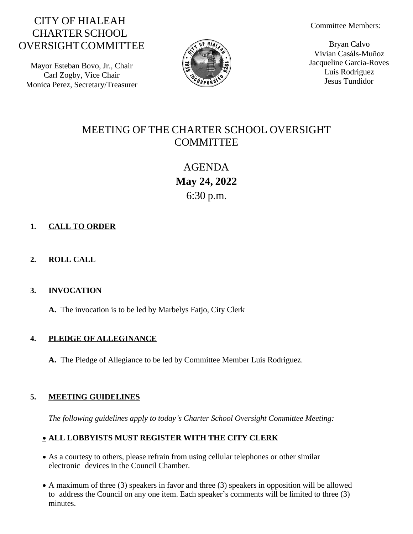# CITY OF HIALEAH CHARTER SCHOOL OVERSIGHTCOMMITTEE

Mayor Esteban Bovo, Jr., Chair Carl Zogby, Vice Chair Monica Perez, Secretary/Treasurer



Committee Members:

Bryan Calvo Vivian Casáls-Muñoz Jacqueline Garcia-Roves Luis Rodriguez Jesus Tundidor

# MEETING OF THE CHARTER SCHOOL OVERSIGHT **COMMITTEE**

AGENDA **May 24, 2022** 6:30 p.m.

# **1. CALL TO ORDER**

# **2. ROLL CALL**

## **3. INVOCATION**

**A.** The invocation is to be led by Marbelys Fatjo, City Clerk

## **4. PLEDGE OF ALLEGINANCE**

**A.** The Pledge of Allegiance to be led by Committee Member Luis Rodriguez.

# **5. MEETING GUIDELINES**

*The following guidelines apply to today's Charter School Oversight Committee Meeting:*

# **ALL LOBBYISTS MUST REGISTER WITH THE CITY CLERK**

- As a courtesy to others, please refrain from using cellular telephones or other similar electronic devices in the Council Chamber.
- A maximum of three (3) speakers in favor and three (3) speakers in opposition will be allowed to address the Council on any one item. Each speaker's comments will be limited to three (3) minutes.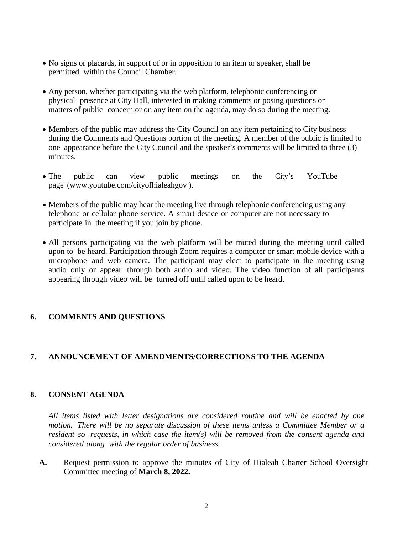- No signs or placards, in support of or in opposition to an item or speaker, shall be permitted within the Council Chamber.
- Any person, whether participating via the web platform, telephonic conferencing or physical presence at City Hall, interested in making comments or posing questions on matters of public concern or on any item on the agenda, may do so during the meeting.
- Members of the public may address the City Council on any item pertaining to City business during the Comments and Questions portion of the meeting. A member of the public is limited to one appearance before the City Council and the speaker's comments will be limited to three (3) minutes.
- The public can view public meetings on the City's YouTube pag[e](http://www.youtube.com/cityofhialeahgov) [\(w](http://www.youtube.com/cityofhialeahgov)w[w.youtube.com/cityofhialeahgov](http://www.youtube.com/cityofhialeahgov) ).
- Members of the public may hear the meeting live through telephonic conferencing using any telephone or cellular phone service. A smart device or computer are not necessary to participate in the meeting if you join by phone.
- All persons participating via the web platform will be muted during the meeting until called upon to be heard. Participation through Zoom requires a computer or smart mobile device with a microphone and web camera. The participant may elect to participate in the meeting using audio only or appear through both audio and video. The video function of all participants appearing through video will be turned off until called upon to be heard.

### **6. COMMENTS AND QUESTIONS**

### **7. ANNOUNCEMENT OF AMENDMENTS/CORRECTIONS TO THE AGENDA**

### **8. CONSENT AGENDA**

*All items listed with letter designations are considered routine and will be enacted by one motion. There will be no separate discussion of these items unless a Committee Member or a resident so requests, in which case the item(s) will be removed from the consent agenda and considered along with the regular order of business.*

**A.** Request permission to approve the minutes of City of Hialeah Charter School Oversight Committee meeting of **March 8, 2022.**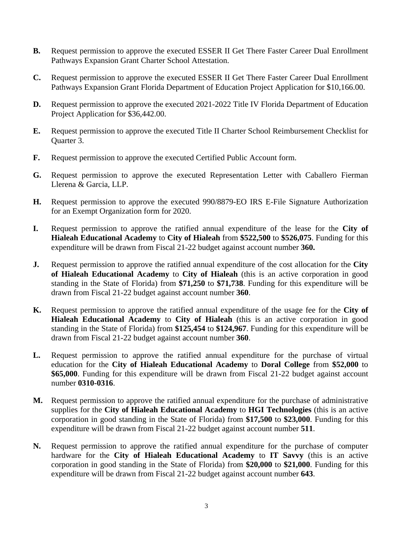- **B.** Request permission to approve the executed ESSER II Get There Faster Career Dual Enrollment Pathways Expansion Grant Charter School Attestation.
- **C.** Request permission to approve the executed ESSER II Get There Faster Career Dual Enrollment Pathways Expansion Grant Florida Department of Education Project Application for \$10,166.00.
- **D.** Request permission to approve the executed 2021-2022 Title IV Florida Department of Education Project Application for \$36,442.00.
- **E.** Request permission to approve the executed Title II Charter School Reimbursement Checklist for Quarter 3.
- **F.** Request permission to approve the executed Certified Public Account form.
- **G.** Request permission to approve the executed Representation Letter with Caballero Fierman Llerena & Garcia, LLP.
- **H.** Request permission to approve the executed 990/8879-EO IRS E-File Signature Authorization for an Exempt Organization form for 2020.
- **I.** Request permission to approve the ratified annual expenditure of the lease for the **City of Hialeah Educational Academy** to **City of Hialeah** from **\$522,500** to **\$526,075**. Funding for this expenditure will be drawn from Fiscal 21-22 budget against account number **360.**
- **J.** Request permission to approve the ratified annual expenditure of the cost allocation for the **City of Hialeah Educational Academy** to **City of Hialeah** (this is an active corporation in good standing in the State of Florida) from **\$71,250** to **\$71,738**. Funding for this expenditure will be drawn from Fiscal 21-22 budget against account number **360**.
- **K.** Request permission to approve the ratified annual expenditure of the usage fee for the **City of Hialeah Educational Academy** to **City of Hialeah** (this is an active corporation in good standing in the State of Florida) from **\$125,454** to **\$124,967**. Funding for this expenditure will be drawn from Fiscal 21-22 budget against account number **360**.
- **L.** Request permission to approve the ratified annual expenditure for the purchase of virtual education for the **City of Hialeah Educational Academy** to **Doral College** from **\$52,000** to **\$65,000**. Funding for this expenditure will be drawn from Fiscal 21-22 budget against account number **0310-0316**.
- **M.** Request permission to approve the ratified annual expenditure for the purchase of administrative supplies for the **City of Hialeah Educational Academy** to **HGI Technologies** (this is an active corporation in good standing in the State of Florida) from **\$17,500** to **\$23,000**. Funding for this expenditure will be drawn from Fiscal 21-22 budget against account number **511**.
- **N.** Request permission to approve the ratified annual expenditure for the purchase of computer hardware for the **City of Hialeah Educational Academy** to **IT Savvy** (this is an active corporation in good standing in the State of Florida) from **\$20,000** to **\$21,000**. Funding for this expenditure will be drawn from Fiscal 21-22 budget against account number **643**.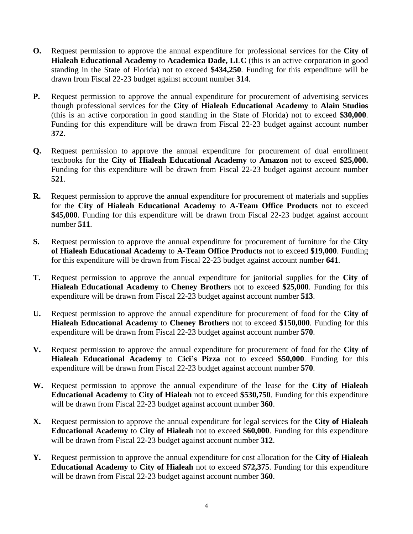- **O.** Request permission to approve the annual expenditure for professional services for the **City of Hialeah Educational Academy** to **Academica Dade, LLC** (this is an active corporation in good standing in the State of Florida) not to exceed **\$434,250**. Funding for this expenditure will be drawn from Fiscal 22-23 budget against account number **314**.
- **P.** Request permission to approve the annual expenditure for procurement of advertising services though professional services for the **City of Hialeah Educational Academy** to **Alain Studios** (this is an active corporation in good standing in the State of Florida) not to exceed **\$30,000**. Funding for this expenditure will be drawn from Fiscal 22-23 budget against account number **372**.
- **Q.** Request permission to approve the annual expenditure for procurement of dual enrollment textbooks for the **City of Hialeah Educational Academy** to **Amazon** not to exceed **\$25,000.** Funding for this expenditure will be drawn from Fiscal 22-23 budget against account number **521**.
- **R.** Request permission to approve the annual expenditure for procurement of materials and supplies for the **City of Hialeah Educational Academy** to **A-Team Office Products** not to exceed \$45,000. Funding for this expenditure will be drawn from Fiscal 22-23 budget against account number **511**.
- **S.** Request permission to approve the annual expenditure for procurement of furniture for the **City of Hialeah Educational Academy** to **A-Team Office Products** not to exceed **\$19,000**. Funding for this expenditure will be drawn from Fiscal 22-23 budget against account number **641**.
- **T.** Request permission to approve the annual expenditure for janitorial supplies for the **City of Hialeah Educational Academy** to **Cheney Brothers** not to exceed **\$25,000**. Funding for this expenditure will be drawn from Fiscal 22-23 budget against account number **513**.
- **U.** Request permission to approve the annual expenditure for procurement of food for the **City of Hialeah Educational Academy** to **Cheney Brothers** not to exceed **\$150,000**. Funding for this expenditure will be drawn from Fiscal 22-23 budget against account number **570**.
- **V.** Request permission to approve the annual expenditure for procurement of food for the **City of Hialeah Educational Academy** to **Cici's Pizza** not to exceed **\$50,000**. Funding for this expenditure will be drawn from Fiscal 22-23 budget against account number **570**.
- **W.** Request permission to approve the annual expenditure of the lease for the **City of Hialeah Educational Academy** to **City of Hialeah** not to exceed **\$530,750**. Funding for this expenditure will be drawn from Fiscal 22-23 budget against account number **360**.
- **X.** Request permission to approve the annual expenditure for legal services for the **City of Hialeah Educational Academy** to **City of Hialeah** not to exceed **\$60,000**. Funding for this expenditure will be drawn from Fiscal 22-23 budget against account number **312**.
- **Y.** Request permission to approve the annual expenditure for cost allocation for the **City of Hialeah Educational Academy** to **City of Hialeah** not to exceed **\$72,375**. Funding for this expenditure will be drawn from Fiscal 22-23 budget against account number **360**.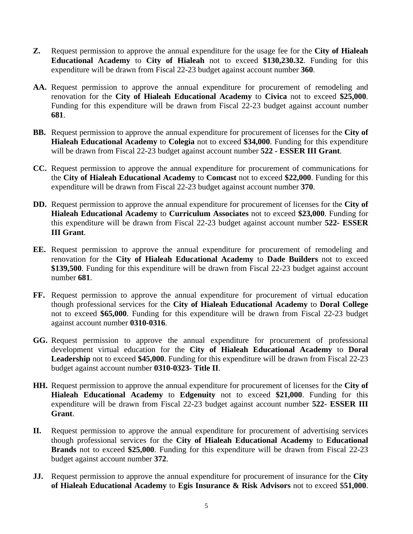- **Z.** Request permission to approve the annual expenditure for the usage fee for the **City of Hialeah Educational Academy** to **City of Hialeah** not to exceed **\$130,230.32**. Funding for this expenditure will be drawn from Fiscal 22-23 budget against account number **360**.
- **AA.** Request permission to approve the annual expenditure for procurement of remodeling and renovation for the **City of Hialeah Educational Academy** to **Civica** not to exceed **\$25,000**. Funding for this expenditure will be drawn from Fiscal 22-23 budget against account number **681**.
- **BB.** Request permission to approve the annual expenditure for procurement of licenses for the **City of Hialeah Educational Academy** to **Colegia** not to exceed **\$34,000**. Funding for this expenditure will be drawn from Fiscal 22-23 budget against account number **522 - ESSER III Grant**.
- **CC.** Request permission to approve the annual expenditure for procurement of communications for the **City of Hialeah Educational Academy** to **Comcast** not to exceed **\$22,000**. Funding for this expenditure will be drawn from Fiscal 22-23 budget against account number **370**.
- **DD.** Request permission to approve the annual expenditure for procurement of licenses for the **City of Hialeah Educational Academy** to **Curriculum Associates** not to exceed **\$23,000**. Funding for this expenditure will be drawn from Fiscal 22-23 budget against account number **522- ESSER III Grant**.
- **EE.** Request permission to approve the annual expenditure for procurement of remodeling and renovation for the **City of Hialeah Educational Academy** to **Dade Builders** not to exceed **\$139,500**. Funding for this expenditure will be drawn from Fiscal 22-23 budget against account number **681**.
- **FF.** Request permission to approve the annual expenditure for procurement of virtual education though professional services for the **City of Hialeah Educational Academy** to **Doral College** not to exceed **\$65,000**. Funding for this expenditure will be drawn from Fiscal 22-23 budget against account number **0310-0316**.
- **GG.** Request permission to approve the annual expenditure for procurement of professional development virtual education for the **City of Hialeah Educational Academy** to **Doral Leadership** not to exceed **\$45,000**. Funding for this expenditure will be drawn from Fiscal 22-23 budget against account number **0310-0323- Title II**.
- **HH.** Request permission to approve the annual expenditure for procurement of licenses for the **City of Hialeah Educational Academy** to **Edgenuity** not to exceed **\$21,000**. Funding for this expenditure will be drawn from Fiscal 22-23 budget against account number **522- ESSER III Grant**.
- **II.** Request permission to approve the annual expenditure for procurement of advertising services though professional services for the **City of Hialeah Educational Academy** to **Educational Brands** not to exceed \$25,000. Funding for this expenditure will be drawn from Fiscal 22-23 budget against account number **372**.
- **JJ.** Request permission to approve the annual expenditure for procurement of insurance for the **City of Hialeah Educational Academy** to **Egis Insurance & Risk Advisors** not to exceed \$**51,000**.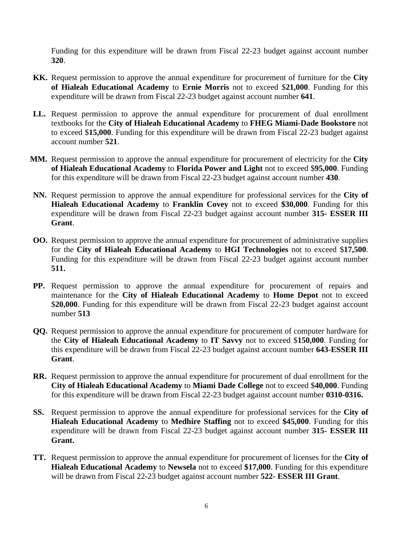Funding for this expenditure will be drawn from Fiscal 22-23 budget against account number **320**.

- **KK.** Request permission to approve the annual expenditure for procurement of furniture for the **City of Hialeah Educational Academy** to **Ernie Morris** not to exceed \$**21,000**. Funding for this expenditure will be drawn from Fiscal 22-23 budget against account number **641**.
- **LL.** Request permission to approve the annual expenditure for procurement of dual enrollment textbooks for the **City of Hialeah Educational Academy** to **FHEG Miami-Dade Bookstore** not to exceed \$**15,000**. Funding for this expenditure will be drawn from Fiscal 22-23 budget against account number **521**.
- **MM.** Request permission to approve the annual expenditure for procurement of electricity for the **City of Hialeah Educational Academy** to **Florida Power and Light** not to exceed \$**95,000**. Funding for this expenditure will be drawn from Fiscal 22-23 budget against account number **430**.
- **NN.** Request permission to approve the annual expenditure for professional services for the **City of Hialeah Educational Academy** to **Franklin Covey** not to exceed **\$30,000**. Funding for this expenditure will be drawn from Fiscal 22-23 budget against account number **315- ESSER III Grant**.
- **OO.** Request permission to approve the annual expenditure for procurement of administrative supplies for the **City of Hialeah Educational Academy** to **HGI Technologies** not to exceed \$**17,500**. Funding for this expenditure will be drawn from Fiscal 22-23 budget against account number **511.**
- **PP.** Request permission to approve the annual expenditure for procurement of repairs and maintenance for the **City of Hialeah Educational Academy** to **Home Depot** not to exceed \$**20,000**. Funding for this expenditure will be drawn from Fiscal 22-23 budget against account number **513**
- **QQ.** Request permission to approve the annual expenditure for procurement of computer hardware for the **City of Hialeah Educational Academy** to **IT Savvy** not to exceed \$**150,000**. Funding for this expenditure will be drawn from Fiscal 22-23 budget against account number **643-ESSER III Grant**.
- **RR.** Request permission to approve the annual expenditure for procurement of dual enrollment for the **City of Hialeah Educational Academy** to **Miami Dade College** not to exceed \$**40,000**. Funding for this expenditure will be drawn from Fiscal 22-23 budget against account number **0310-0316.**
- **SS.** Request permission to approve the annual expenditure for professional services for the **City of Hialeah Educational Academy** to **Medhire Staffing** not to exceed **\$45,000**. Funding for this expenditure will be drawn from Fiscal 22-23 budget against account number **315- ESSER III Grant.**
- **TT.** Request permission to approve the annual expenditure for procurement of licenses for the **City of Hialeah Educational Academy** to **Newsela** not to exceed **\$17,000**. Funding for this expenditure will be drawn from Fiscal 22-23 budget against account number **522- ESSER III Grant**.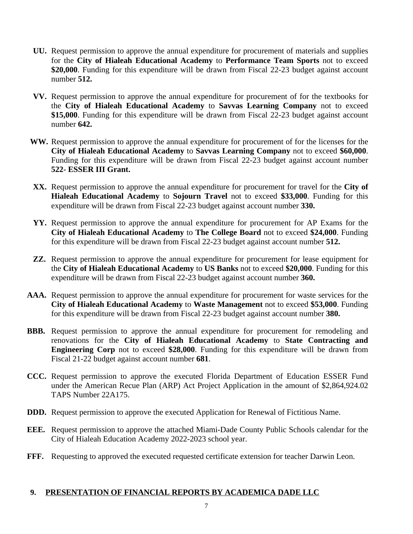- **UU.** Request permission to approve the annual expenditure for procurement of materials and supplies for the **City of Hialeah Educational Academy** to **Performance Team Sports** not to exceed **\$20,000**. Funding for this expenditure will be drawn from Fiscal 22-23 budget against account number **512.**
- **VV.** Request permission to approve the annual expenditure for procurement of for the textbooks for the **City of Hialeah Educational Academy** to **Savvas Learning Company** not to exceed **\$15,000**. Funding for this expenditure will be drawn from Fiscal 22-23 budget against account number **642.**
- **WW.** Request permission to approve the annual expenditure for procurement of for the licenses for the **City of Hialeah Educational Academy** to **Savvas Learning Company** not to exceed **\$60,000**. Funding for this expenditure will be drawn from Fiscal 22-23 budget against account number **522- ESSER III Grant.**
- **XX.** Request permission to approve the annual expenditure for procurement for travel for the **City of Hialeah Educational Academy** to **Sojourn Travel** not to exceed **\$33,000**. Funding for this expenditure will be drawn from Fiscal 22-23 budget against account number **330.**
- **YY.** Request permission to approve the annual expenditure for procurement for AP Exams for the **City of Hialeah Educational Academy** to **The College Board** not to exceed **\$24,000**. Funding for this expenditure will be drawn from Fiscal 22-23 budget against account number **512.**
- **ZZ.** Request permission to approve the annual expenditure for procurement for lease equipment for the **City of Hialeah Educational Academy** to **US Banks** not to exceed **\$20,000**. Funding for this expenditure will be drawn from Fiscal 22-23 budget against account number **360.**
- **AAA.** Request permission to approve the annual expenditure for procurement for waste services for the **City of Hialeah Educational Academy** to **Waste Management** not to exceed **\$53,000**. Funding for this expenditure will be drawn from Fiscal 22-23 budget against account number **380.**
- **BBB.** Request permission to approve the annual expenditure for procurement for remodeling and renovations for the **City of Hialeah Educational Academy** to **State Contracting and Engineering Corp** not to exceed **\$28,000**. Funding for this expenditure will be drawn from Fiscal 21-22 budget against account number **681**.
- **CCC.** Request permission to approve the executed Florida Department of Education ESSER Fund under the American Recue Plan (ARP) Act Project Application in the amount of \$2,864,924.02 TAPS Number 22A175.
- **DDD.** Request permission to approve the executed Application for Renewal of Fictitious Name.
- **EEE.** Request permission to approve the attached Miami-Dade County Public Schools calendar for the City of Hialeah Education Academy 2022-2023 school year.
- FFF. Requesting to approved the executed requested certificate extension for teacher Darwin Leon.

### **9. PRESENTATION OF FINANCIAL REPORTS BY ACADEMICA DADE LLC**